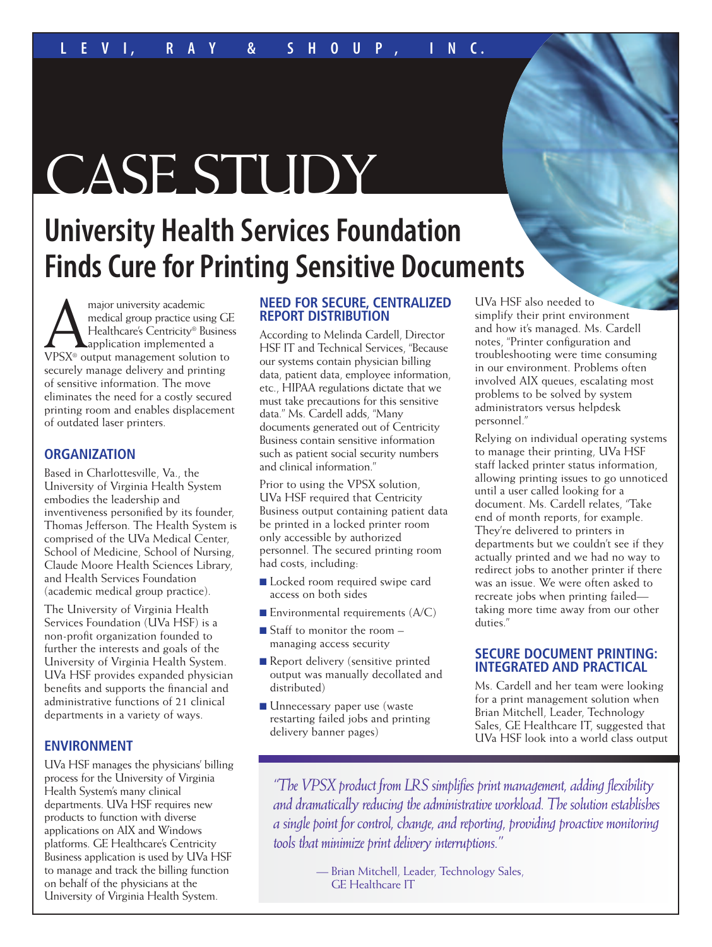# CASE STUDY

# **University Health Services Foundation Finds Cure for Printing Sensitive Documents**

**AMA MAGGE MANUS AMAGGERRY AND MAGGERRY CONTROLLER**<br>
Healthcare's Centricity® Busines<br>
VPSX® output management solution to medical group practice using GE Healthcare's Centricity® Business **A**application implemented a securely manage delivery and printing of sensitive information. The move eliminates the need for a costly secured printing room and enables displacement of outdated laser printers.

# **ORGANIZATION**

Based in Charlottesville, Va., the University of Virginia Health System embodies the leadership and inventiveness personified by its founder, Thomas Jefferson. The Health System is comprised of the UVa Medical Center, School of Medicine, School of Nursing, Claude Moore Health Sciences Library, and Health Services Foundation (academic medical group practice).

The University of Virginia Health Services Foundation (UVa HSF) is a non-profit organization founded to further the interests and goals of the University of Virginia Health System. UVa HSF provides expanded physician benefits and supports the financial and administrative functions of 21 clinical departments in a variety of ways.

# **ENVIRONMENT**

UVa HSF manages the physicians' billing process for the University of Virginia Health System's many clinical departments. UVa HSF requires new products to function with diverse applications on AIX and Windows platforms. GE Healthcare's Centricity Business application is used by UVa HSF to manage and track the billing function on behalf of the physicians at the University of Virginia Health System.

## **NEED FOR SECURE, CENTRALIZED REPORT DISTRIBUTION**

According to Melinda Cardell, Director HSF IT and Technical Services, "Because our systems contain physician billing data, patient data, employee information, etc., HIPAA regulations dictate that we must take precautions for this sensitive data." Ms. Cardell adds, "Many documents generated out of Centricity Business contain sensitive information such as patient social security numbers and clinical information."

Prior to using the VPSX solution, UVa HSF required that Centricity Business output containing patient data be printed in a locked printer room only accessible by authorized personnel. The secured printing room had costs, including:

- Locked room required swipe card access on both sides
- **Environmental requirements (A/C)**
- Staff to monitor the room managing access security
- Report delivery (sensitive printed output was manually decollated and distributed)
- Unnecessary paper use (waste restarting failed jobs and printing delivery banner pages)

UVa HSF also needed to simplify their print environment and how it's managed. Ms. Cardell notes, "Printer configuration and troubleshooting were time consuming in our environment. Problems often involved AIX queues, escalating most problems to be solved by system administrators versus helpdesk personnel."

Relying on individual operating systems to manage their printing, UVa HSF staff lacked printer status information, allowing printing issues to go unnoticed until a user called looking for a document. Ms. Cardell relates, "Take end of month reports, for example. They're delivered to printers in departments but we couldn't see if they actually printed and we had no way to redirect jobs to another printer if there was an issue. We were often asked to recreate jobs when printing failed taking more time away from our other duties."

#### **SECURE DOCUMENT PRINTING: INTEGRATED AND PRACTICAL**

Ms. Cardell and her team were looking for a print management solution when Brian Mitchell, Leader, Technology Sales, GE Healthcare IT, suggested that UVa HSF look into a world class output

*"TheVPSX product from LRS simplifies print management, adding flexibility and dramatically reducing the administrative workload. The solution establishes a single point forcontrol,change, and reporting, providing proactive monitoring tools that minimize print delivery interruptions."*

> — Brian Mitchell, Leader, Technology Sales, GE Healthcare IT